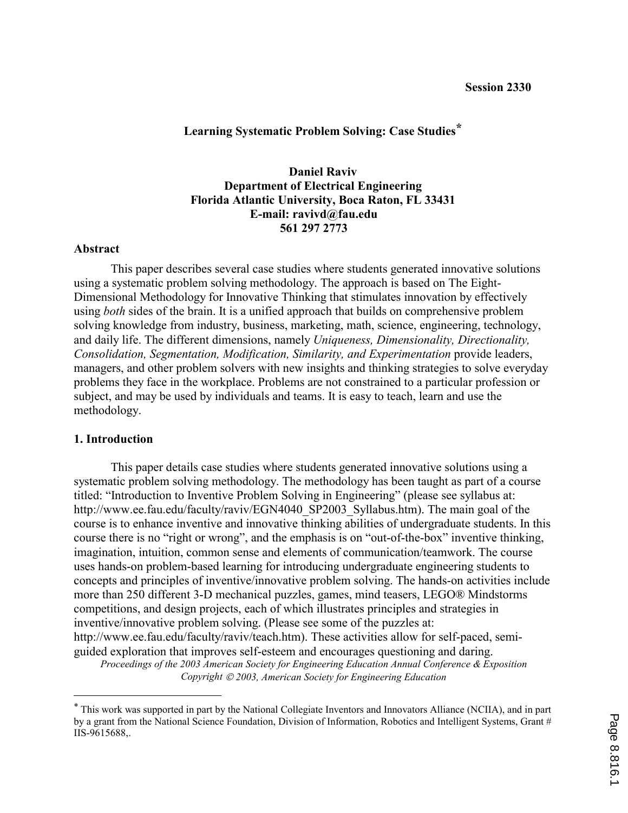## **Learning Systematic Problem Solving: Case Studies\***

# **Daniel Raviv Department of Electrical Engineering Florida Atlantic University, Boca Raton, FL 33431 E-mail: ravivd@fau.edu 561 297 2773**

#### **Abstract**

This paper describes several case studies where students generated innovative solutions using a systematic problem solving methodology. The approach is based on The Eight-Dimensional Methodology for Innovative Thinking that stimulates innovation by effectively using *both* sides of the brain. It is a unified approach that builds on comprehensive problem solving knowledge from industry, business, marketing, math, science, engineering, technology, and daily life. The different dimensions, namely *Uniqueness, Dimensionality, Directionality, Consolidation, Segmentation, Modification, Similarity, and Experimentation* provide leaders, managers, and other problem solvers with new insights and thinking strategies to solve everyday problems they face in the workplace. Problems are not constrained to a particular profession or subject, and may be used by individuals and teams. It is easy to teach, learn and use the methodology.

#### **1. Introduction**

 $\overline{a}$ 

This paper details case studies where students generated innovative solutions using a systematic problem solving methodology. The methodology has been taught as part of a course titled: "Introduction to Inventive Problem Solving in Engineering" (please see syllabus at: http://www.ee.fau.edu/faculty/raviv/EGN4040\_SP2003\_Syllabus.htm). The main goal of the course is to enhance inventive and innovative thinking abilities of undergraduate students. In this course there is no "right or wrong", and the emphasis is on "out-of-the-box" inventive thinking, imagination, intuition, common sense and elements of communication/teamwork. The course uses hands-on problem-based learning for introducing undergraduate engineering students to concepts and principles of inventive/innovative problem solving. The hands-on activities include more than 250 different 3-D mechanical puzzles, games, mind teasers, LEGO® Mindstorms competitions, and design projects, each of which illustrates principles and strategies in inventive/innovative problem solving. (Please see some of the puzzles at: http://www.ee.fau.edu/faculty/raviv/teach.htm). These activities allow for self-paced, semiguided exploration that improves self-esteem and encourages questioning and daring.

<sup>\*</sup> This work was supported in part by the National Collegiate Inventors and Innovators Alliance (NCIIA), and in part by a grant from the National Science Foundation, Division of Information, Robotics and Intelligent Systems, Grant # IIS-9615688,.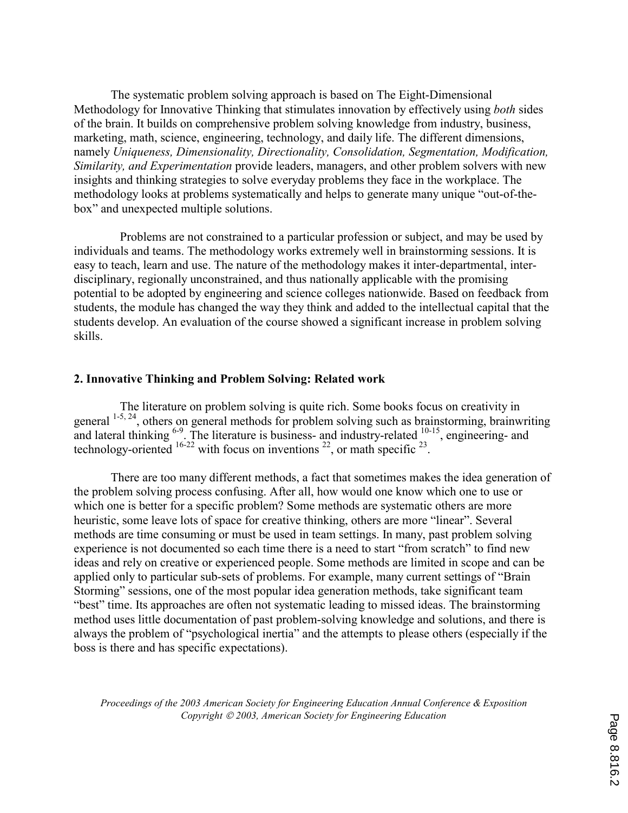The systematic problem solving approach is based on The Eight-Dimensional Methodology for Innovative Thinking that stimulates innovation by effectively using *both* sides of the brain. It builds on comprehensive problem solving knowledge from industry, business, marketing, math, science, engineering, technology, and daily life. The different dimensions, namely *Uniqueness, Dimensionality, Directionality, Consolidation, Segmentation, Modification, Similarity, and Experimentation* provide leaders, managers, and other problem solvers with new insights and thinking strategies to solve everyday problems they face in the workplace. The methodology looks at problems systematically and helps to generate many unique "out-of-thebox" and unexpected multiple solutions.

 Problems are not constrained to a particular profession or subject, and may be used by individuals and teams. The methodology works extremely well in brainstorming sessions. It is easy to teach, learn and use. The nature of the methodology makes it inter-departmental, interdisciplinary, regionally unconstrained, and thus nationally applicable with the promising potential to be adopted by engineering and science colleges nationwide. Based on feedback from students, the module has changed the way they think and added to the intellectual capital that the students develop. An evaluation of the course showed a significant increase in problem solving skills.

### **2. Innovative Thinking and Problem Solving: Related work**

 The literature on problem solving is quite rich. Some books focus on creativity in general 1-5, 24, others on general methods for problem solving such as brainstorming, brainwriting and lateral thinking  $6-9$ . The literature is business- and industry-related  $10-15$ , engineering- and technology-oriented  $16-22$  with focus on inventions  $22$ , or math specific  $23$ .

There are too many different methods, a fact that sometimes makes the idea generation of the problem solving process confusing. After all, how would one know which one to use or which one is better for a specific problem? Some methods are systematic others are more heuristic, some leave lots of space for creative thinking, others are more "linear". Several methods are time consuming or must be used in team settings. In many, past problem solving experience is not documented so each time there is a need to start "from scratch" to find new ideas and rely on creative or experienced people. Some methods are limited in scope and can be applied only to particular sub-sets of problems. For example, many current settings of "Brain Storming" sessions, one of the most popular idea generation methods, take significant team "best" time. Its approaches are often not systematic leading to missed ideas. The brainstorming method uses little documentation of past problem-solving knowledge and solutions, and there is always the problem of "psychological inertia" and the attempts to please others (especially if the boss is there and has specific expectations).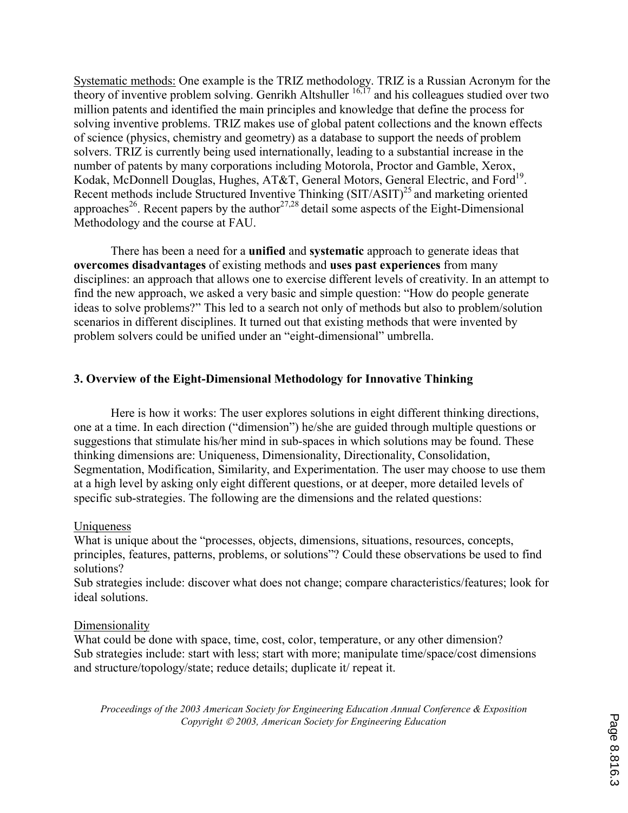Systematic methods: One example is the TRIZ methodology. TRIZ is a Russian Acronym for the theory of inventive problem solving. Genrikh Altshuller  $16,17$  and his colleagues studied over two million patents and identified the main principles and knowledge that define the process for solving inventive problems. TRIZ makes use of global patent collections and the known effects of science (physics, chemistry and geometry) as a database to support the needs of problem solvers. TRIZ is currently being used internationally, leading to a substantial increase in the number of patents by many corporations including Motorola, Proctor and Gamble, Xerox, Kodak, McDonnell Douglas, Hughes, AT&T, General Motors, General Electric, and Ford<sup>19</sup>. Recent methods include Structured Inventive Thinking (SIT/ASIT)<sup>25</sup> and marketing oriented approaches<sup>26</sup>. Recent papers by the author<sup>27,28</sup> detail some aspects of the Eight-Dimensional Methodology and the course at FAU.

 There has been a need for a **unified** and **systematic** approach to generate ideas that **overcomes disadvantages** of existing methods and **uses past experiences** from many disciplines: an approach that allows one to exercise different levels of creativity. In an attempt to find the new approach, we asked a very basic and simple question: "How do people generate ideas to solve problems?" This led to a search not only of methods but also to problem/solution scenarios in different disciplines. It turned out that existing methods that were invented by problem solvers could be unified under an "eight-dimensional" umbrella.

# **3. Overview of the Eight-Dimensional Methodology for Innovative Thinking**

Here is how it works: The user explores solutions in eight different thinking directions, one at a time. In each direction ("dimension") he/she are guided through multiple questions or suggestions that stimulate his/her mind in sub-spaces in which solutions may be found. These thinking dimensions are: Uniqueness, Dimensionality, Directionality, Consolidation, Segmentation, Modification, Similarity, and Experimentation. The user may choose to use them at a high level by asking only eight different questions, or at deeper, more detailed levels of specific sub-strategies. The following are the dimensions and the related questions:

### Uniqueness

What is unique about the "processes, objects, dimensions, situations, resources, concepts, principles, features, patterns, problems, or solutions"? Could these observations be used to find solutions?

Sub strategies include: discover what does not change; compare characteristics/features; look for ideal solutions.

### **Dimensionality**

What could be done with space, time, cost, color, temperature, or any other dimension? Sub strategies include: start with less; start with more; manipulate time/space/cost dimensions and structure/topology/state; reduce details; duplicate it/ repeat it.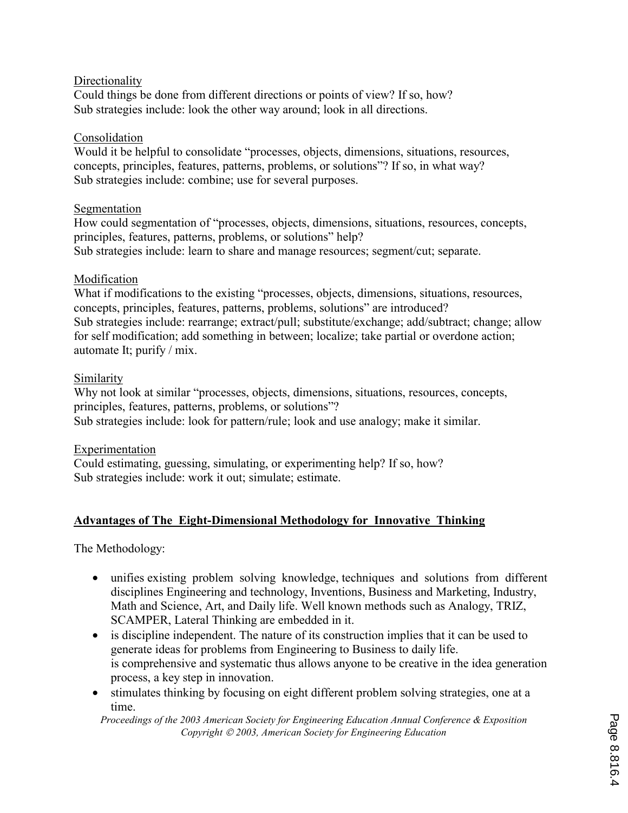## **Directionality**

Could things be done from different directions or points of view? If so, how? Sub strategies include: look the other way around; look in all directions.

### Consolidation

Would it be helpful to consolidate "processes, objects, dimensions, situations, resources, concepts, principles, features, patterns, problems, or solutions"? If so, in what way? Sub strategies include: combine; use for several purposes.

### Segmentation

How could segmentation of "processes, objects, dimensions, situations, resources, concepts, principles, features, patterns, problems, or solutions" help? Sub strategies include: learn to share and manage resources; segment/cut; separate.

## Modification

What if modifications to the existing "processes, objects, dimensions, situations, resources, concepts, principles, features, patterns, problems, solutions" are introduced? Sub strategies include: rearrange; extract/pull; substitute/exchange; add/subtract; change; allow for self modification; add something in between; localize; take partial or overdone action; automate It; purify / mix.

## Similarity

Why not look at similar "processes, objects, dimensions, situations, resources, concepts, principles, features, patterns, problems, or solutions"? Sub strategies include: look for pattern/rule; look and use analogy; make it similar.

### Experimentation

Could estimating, guessing, simulating, or experimenting help? If so, how? Sub strategies include: work it out; simulate; estimate.

# **Advantages of The Eight-Dimensional Methodology for Innovative Thinking**

The Methodology:

- unifies existing problem solving knowledge, techniques and solutions from different disciplines Engineering and technology, Inventions, Business and Marketing, Industry, Math and Science, Art, and Daily life. Well known methods such as Analogy, TRIZ, SCAMPER, Lateral Thinking are embedded in it.
- is discipline independent. The nature of its construction implies that it can be used to generate ideas for problems from Engineering to Business to daily life. is comprehensive and systematic thus allows anyone to be creative in the idea generation process, a key step in innovation.
- stimulates thinking by focusing on eight different problem solving strategies, one at a time.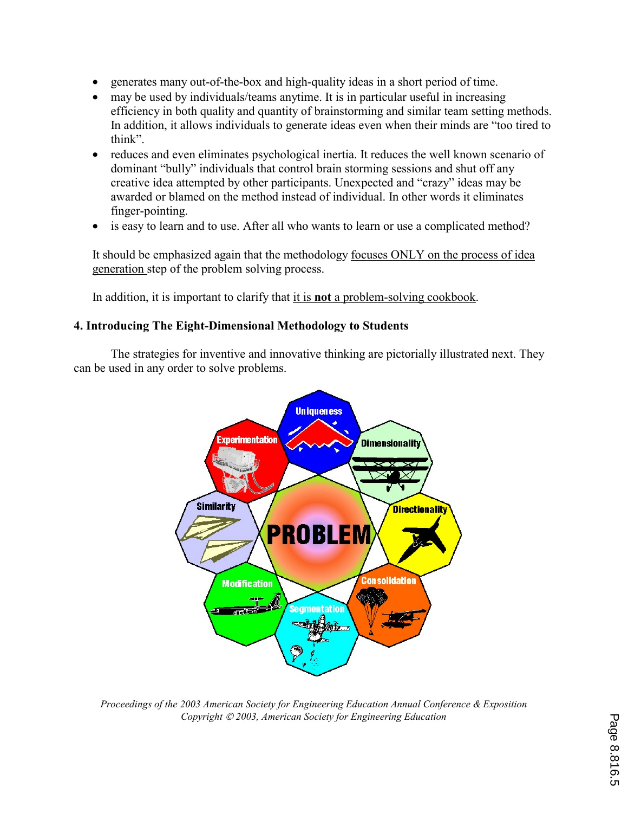- generates many out-of-the-box and high-quality ideas in a short period of time.
- may be used by individuals/teams anytime. It is in particular useful in increasing efficiency in both quality and quantity of brainstorming and similar team setting methods. In addition, it allows individuals to generate ideas even when their minds are "too tired to think".
- reduces and even eliminates psychological inertia. It reduces the well known scenario of dominant "bully" individuals that control brain storming sessions and shut off any creative idea attempted by other participants. Unexpected and "crazy" ideas may be awarded or blamed on the method instead of individual. In other words it eliminates finger-pointing.
- is easy to learn and to use. After all who wants to learn or use a complicated method?

It should be emphasized again that the methodology focuses ONLY on the process of idea generation step of the problem solving process.

In addition, it is important to clarify that it is **not** a problem-solving cookbook.

# **4. Introducing The Eight-Dimensional Methodology to Students**

The strategies for inventive and innovative thinking are pictorially illustrated next. They can be used in any order to solve problems.



*Proceedings of the 2003 American Society for Engineering Education Annual Conference & Exposition Copyright 2003, American Society for Engineering Education*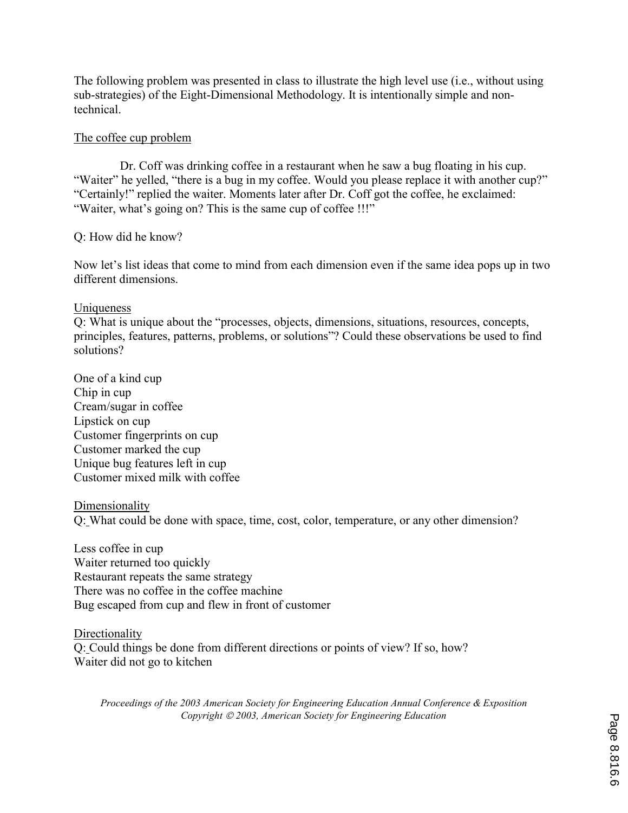The following problem was presented in class to illustrate the high level use (i.e., without using sub-strategies) of the Eight-Dimensional Methodology. It is intentionally simple and nontechnical.

## The coffee cup problem

 Dr. Coff was drinking coffee in a restaurant when he saw a bug floating in his cup. "Waiter" he yelled, "there is a bug in my coffee. Would you please replace it with another cup?" "Certainly!" replied the waiter. Moments later after Dr. Coff got the coffee, he exclaimed: "Waiter, what's going on? This is the same cup of coffee !!!"

Q: How did he know?

Now let's list ideas that come to mind from each dimension even if the same idea pops up in two different dimensions.

## Uniqueness

Q: What is unique about the "processes, objects, dimensions, situations, resources, concepts, principles, features, patterns, problems, or solutions"? Could these observations be used to find solutions?

One of a kind cup Chip in cup Cream/sugar in coffee Lipstick on cup Customer fingerprints on cup Customer marked the cup Unique bug features left in cup Customer mixed milk with coffee

### Dimensionality

Q: What could be done with space, time, cost, color, temperature, or any other dimension?

Less coffee in cup Waiter returned too quickly Restaurant repeats the same strategy There was no coffee in the coffee machine Bug escaped from cup and flew in front of customer

**Directionality** Q: Could things be done from different directions or points of view? If so, how? Waiter did not go to kitchen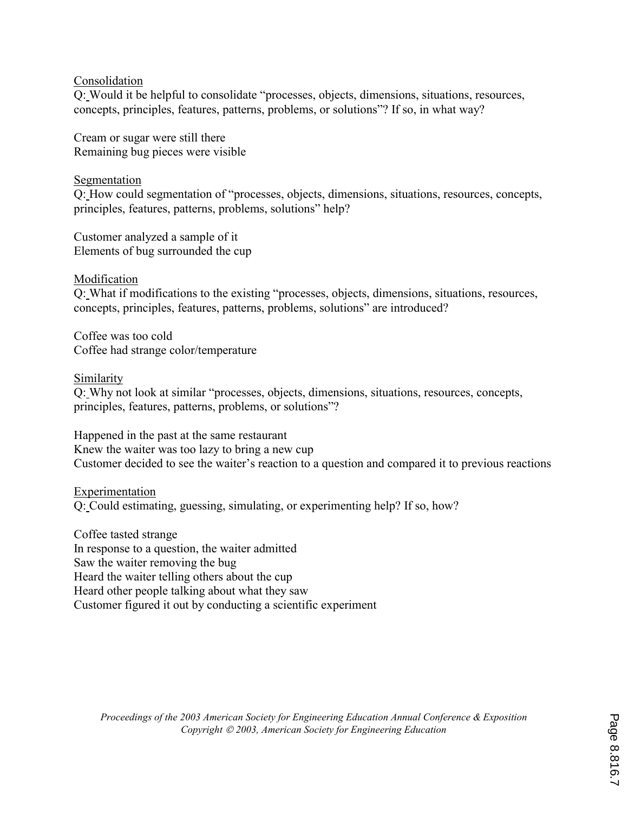## Consolidation

Q: Would it be helpful to consolidate "processes, objects, dimensions, situations, resources, concepts, principles, features, patterns, problems, or solutions"? If so, in what way?

Cream or sugar were still there Remaining bug pieces were visible

# Segmentation

Q: How could segmentation of "processes, objects, dimensions, situations, resources, concepts, principles, features, patterns, problems, solutions" help?

Customer analyzed a sample of it Elements of bug surrounded the cup

# Modification

Q: What if modifications to the existing "processes, objects, dimensions, situations, resources, concepts, principles, features, patterns, problems, solutions" are introduced?

Coffee was too cold Coffee had strange color/temperature

## Similarity

Q: Why not look at similar "processes, objects, dimensions, situations, resources, concepts, principles, features, patterns, problems, or solutions"?

Happened in the past at the same restaurant Knew the waiter was too lazy to bring a new cup Customer decided to see the waiter's reaction to a question and compared it to previous reactions

### Experimentation Q: Could estimating, guessing, simulating, or experimenting help? If so, how?

Coffee tasted strange In response to a question, the waiter admitted Saw the waiter removing the bug Heard the waiter telling others about the cup Heard other people talking about what they saw Customer figured it out by conducting a scientific experiment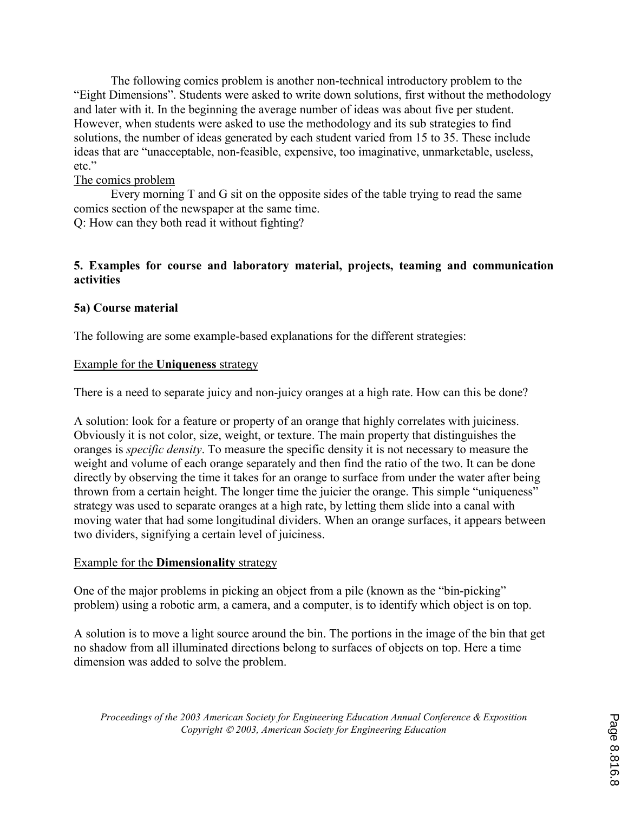The following comics problem is another non-technical introductory problem to the "Eight Dimensions". Students were asked to write down solutions, first without the methodology and later with it. In the beginning the average number of ideas was about five per student. However, when students were asked to use the methodology and its sub strategies to find solutions, the number of ideas generated by each student varied from 15 to 35. These include ideas that are "unacceptable, non-feasible, expensive, too imaginative, unmarketable, useless, etc."

# The comics problem

 Every morning T and G sit on the opposite sides of the table trying to read the same comics section of the newspaper at the same time.

Q: How can they both read it without fighting?

## **5. Examples for course and laboratory material, projects, teaming and communication activities**

## **5a) Course material**

The following are some example-based explanations for the different strategies:

### Example for the **Uniqueness** strategy

There is a need to separate juicy and non-juicy oranges at a high rate. How can this be done?

A solution: look for a feature or property of an orange that highly correlates with juiciness. Obviously it is not color, size, weight, or texture. The main property that distinguishes the oranges is *specific density*. To measure the specific density it is not necessary to measure the weight and volume of each orange separately and then find the ratio of the two. It can be done directly by observing the time it takes for an orange to surface from under the water after being thrown from a certain height. The longer time the juicier the orange. This simple "uniqueness" strategy was used to separate oranges at a high rate, by letting them slide into a canal with moving water that had some longitudinal dividers. When an orange surfaces, it appears between two dividers, signifying a certain level of juiciness.

### Example for the **Dimensionality** strategy

One of the major problems in picking an object from a pile (known as the "bin-picking" problem) using a robotic arm, a camera, and a computer, is to identify which object is on top.

A solution is to move a light source around the bin. The portions in the image of the bin that get no shadow from all illuminated directions belong to surfaces of objects on top. Here a time dimension was added to solve the problem.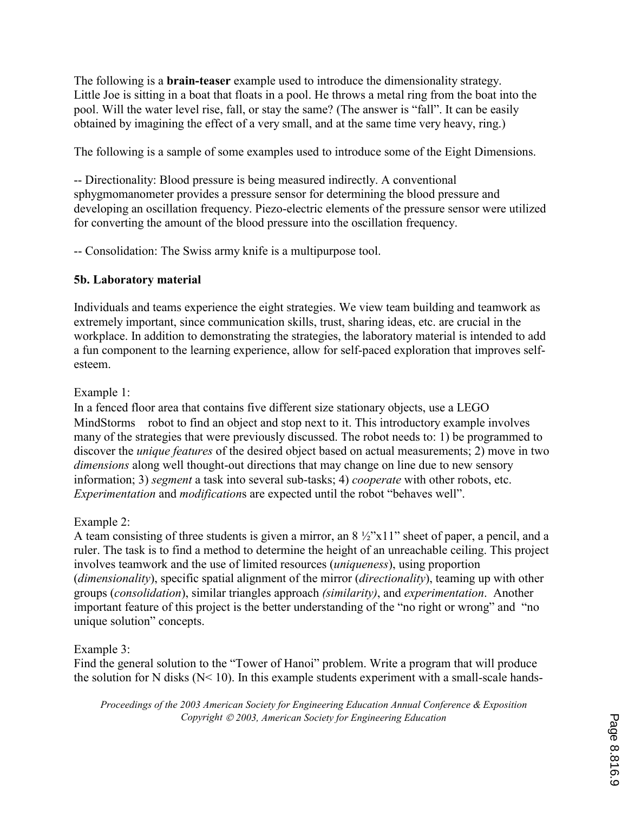The following is a **brain-teaser** example used to introduce the dimensionality strategy. Little Joe is sitting in a boat that floats in a pool. He throws a metal ring from the boat into the pool. Will the water level rise, fall, or stay the same? (The answer is "fall". It can be easily obtained by imagining the effect of a very small, and at the same time very heavy, ring.)

The following is a sample of some examples used to introduce some of the Eight Dimensions.

-- Directionality: Blood pressure is being measured indirectly. A conventional sphygmomanometer provides a pressure sensor for determining the blood pressure and developing an oscillation frequency. Piezo-electric elements of the pressure sensor were utilized for converting the amount of the blood pressure into the oscillation frequency.

-- Consolidation: The Swiss army knife is a multipurpose tool.

# **5b. Laboratory material**

Individuals and teams experience the eight strategies. We view team building and teamwork as extremely important, since communication skills, trust, sharing ideas, etc. are crucial in the workplace. In addition to demonstrating the strategies, the laboratory material is intended to add a fun component to the learning experience, allow for self-paced exploration that improves selfesteem.

# Example 1:

In a fenced floor area that contains five different size stationary objects, use a LEGO MindStorms robot to find an object and stop next to it. This introductory example involves many of the strategies that were previously discussed. The robot needs to: 1) be programmed to discover the *unique features* of the desired object based on actual measurements; 2) move in two *dimensions* along well thought-out directions that may change on line due to new sensory information; 3) *segment* a task into several sub-tasks; 4) *cooperate* with other robots, etc. *Experimentation* and *modification*s are expected until the robot "behaves well".

# Example 2:

A team consisting of three students is given a mirror, an 8 ½"x11" sheet of paper, a pencil, and a ruler. The task is to find a method to determine the height of an unreachable ceiling. This project involves teamwork and the use of limited resources (*uniqueness*), using proportion (*dimensionality*), specific spatial alignment of the mirror (*directionality*), teaming up with other groups (*consolidation*), similar triangles approach *(similarity)*, and *experimentation*. Another important feature of this project is the better understanding of the "no right or wrong" and "no unique solution" concepts.

# Example 3:

Find the general solution to the "Tower of Hanoi" problem. Write a program that will produce the solution for N disks (N< 10). In this example students experiment with a small-scale hands-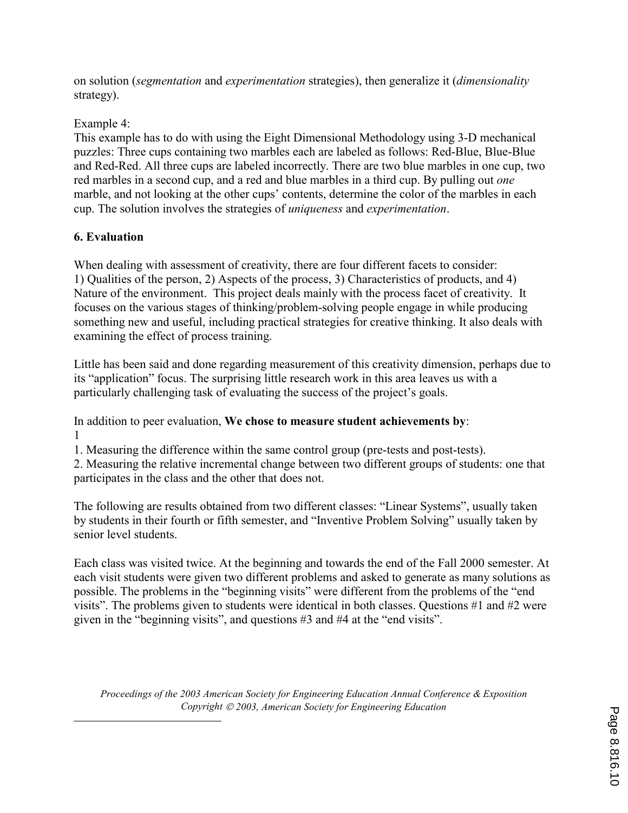on solution (*segmentation* and *experimentation* strategies), then generalize it (*dimensionality* strategy).

# Example 4:

This example has to do with using the Eight Dimensional Methodology using 3-D mechanical puzzles: Three cups containing two marbles each are labeled as follows: Red-Blue, Blue-Blue and Red-Red. All three cups are labeled incorrectly. There are two blue marbles in one cup, two red marbles in a second cup, and a red and blue marbles in a third cup. By pulling out *one* marble, and not looking at the other cups' contents, determine the color of the marbles in each cup. The solution involves the strategies of *uniqueness* and *experimentation*.

# **6. Evaluation**

 $\overline{a}$ 

When dealing with assessment of creativity, there are four different facets to consider: 1) Qualities of the person, 2) Aspects of the process, 3) Characteristics of products, and 4) Nature of the environment. This project deals mainly with the process facet of creativity. It focuses on the various stages of thinking/problem-solving people engage in while producing something new and useful, including practical strategies for creative thinking. It also deals with examining the effect of process training.

Little has been said and done regarding measurement of this creativity dimension, perhaps due to its "application" focus. The surprising little research work in this area leaves us with a particularly challenging task of evaluating the success of the project's goals.

In addition to peer evaluation, **We chose to measure student achievements by**: 1

1. Measuring the difference within the same control group (pre-tests and post-tests).

2. Measuring the relative incremental change between two different groups of students: one that participates in the class and the other that does not.

The following are results obtained from two different classes: "Linear Systems", usually taken by students in their fourth or fifth semester, and "Inventive Problem Solving" usually taken by senior level students.

Each class was visited twice. At the beginning and towards the end of the Fall 2000 semester. At each visit students were given two different problems and asked to generate as many solutions as possible. The problems in the "beginning visits" were different from the problems of the "end visits". The problems given to students were identical in both classes. Questions #1 and #2 were given in the "beginning visits", and questions #3 and #4 at the "end visits".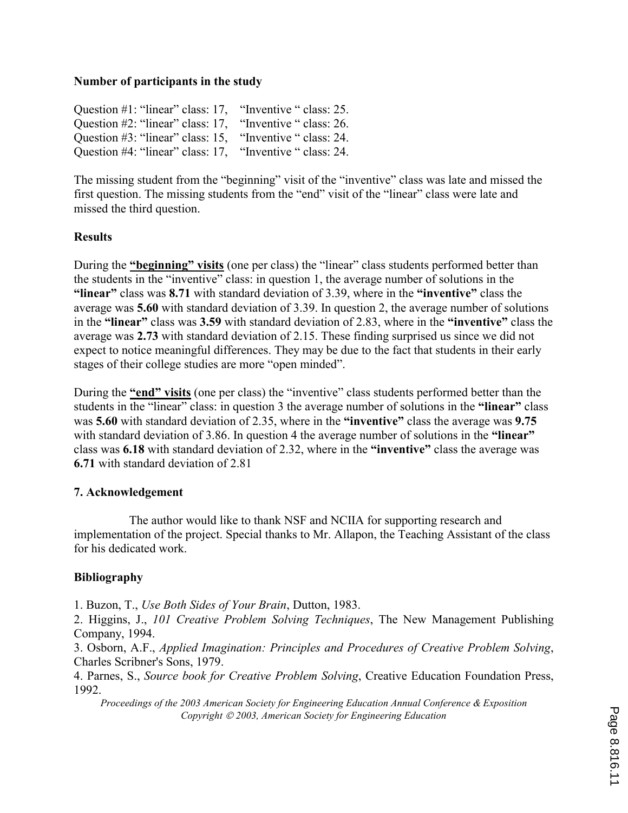## **Number of participants in the study**

Question #1: "linear" class: 17, "Inventive " class: 25. Question #2: "linear" class: 17, "Inventive " class: 26. Question #3: "linear" class: 15, "Inventive " class: 24. Question #4: "linear" class: 17, "Inventive " class: 24.

The missing student from the "beginning" visit of the "inventive" class was late and missed the first question. The missing students from the "end" visit of the "linear" class were late and missed the third question.

## **Results**

During the **"beginning" visits** (one per class) the "linear" class students performed better than the students in the "inventive" class: in question 1, the average number of solutions in the **"linear"** class was **8.71** with standard deviation of 3.39, where in the **"inventive"** class the average was **5.60** with standard deviation of 3.39. In question 2, the average number of solutions in the **"linear"** class was **3.59** with standard deviation of 2.83, where in the **"inventive"** class the average was **2.73** with standard deviation of 2.15. These finding surprised us since we did not expect to notice meaningful differences. They may be due to the fact that students in their early stages of their college studies are more "open minded".

During the **"end" visits** (one per class) the "inventive" class students performed better than the students in the "linear" class: in question 3 the average number of solutions in the **"linear"** class was **5.60** with standard deviation of 2.35, where in the **"inventive"** class the average was **9.75** with standard deviation of 3.86. In question 4 the average number of solutions in the "linear" class was **6.18** with standard deviation of 2.32, where in the **"inventive"** class the average was **6.71** with standard deviation of 2.81

### **7. Acknowledgement**

 The author would like to thank NSF and NCIIA for supporting research and implementation of the project. Special thanks to Mr. Allapon, the Teaching Assistant of the class for his dedicated work.

# **Bibliography**

1. Buzon, T., *Use Both Sides of Your Brain*, Dutton, 1983.

2. Higgins, J., *101 Creative Problem Solving Techniques*, The New Management Publishing Company, 1994.

3. Osborn, A.F., *Applied Imagination: Principles and Procedures of Creative Problem Solving*, Charles Scribner's Sons, 1979.

4. Parnes, S., *Source book for Creative Problem Solving*, Creative Education Foundation Press, 1992.